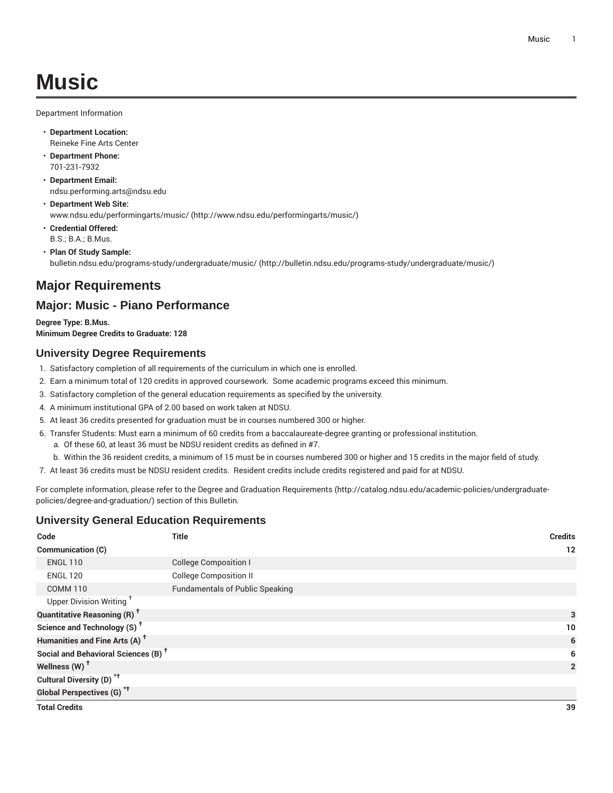Department Information

- **Department Location:** Reineke Fine Arts Center
- **Department Phone:** 701-231-7932
- **Department Email:** [ndsu.performing.arts@ndsu.edu](mailto:ndsu.performing.arts@ndsu.edu)
- **Department Web Site:** [www.ndsu.edu/performingarts/music/ \(http://www.ndsu.edu/performingarts/music/](http://www.ndsu.edu/performingarts/music/))
- **Credential Offered:** B.S.; B.A.; B.Mus.
- **Plan Of Study Sample:** [bulletin.ndsu.edu/programs-study/undergraduate/music/ \(http://bulletin.ndsu.edu/programs-study/undergraduate/music/](http://bulletin.ndsu.edu/programs-study/undergraduate/music/))

# **Major Requirements**

## **Major: Music - Piano Performance**

**Degree Type: B.Mus. Minimum Degree Credits to Graduate: 128**

### **University Degree Requirements**

- 1. Satisfactory completion of all requirements of the curriculum in which one is enrolled.
- 2. Earn a minimum total of 120 credits in approved coursework. Some academic programs exceed this minimum.
- 3. Satisfactory completion of the general education requirements as specified by the university.
- 4. A minimum institutional GPA of 2.00 based on work taken at NDSU.
- 5. At least 36 credits presented for graduation must be in courses numbered 300 or higher.
- 6. Transfer Students: Must earn a minimum of 60 credits from a baccalaureate-degree granting or professional institution.
	- a. Of these 60, at least 36 must be NDSU resident credits as defined in #7.
- b. Within the 36 resident credits, a minimum of 15 must be in courses numbered 300 or higher and 15 credits in the major field of study.
- 7. At least 36 credits must be NDSU resident credits. Resident credits include credits registered and paid for at NDSU.

For complete information, please refer to the Degree and Graduation [Requirements](http://catalog.ndsu.edu/academic-policies/undergraduate-policies/degree-and-graduation/) ([http://catalog.ndsu.edu/academic-policies/undergraduate](http://catalog.ndsu.edu/academic-policies/undergraduate-policies/degree-and-graduation/)[policies/degree-and-graduation/\)](http://catalog.ndsu.edu/academic-policies/undergraduate-policies/degree-and-graduation/) section of this Bulletin.

#### **University General Education Requirements**

| Code                                            | <b>Title</b>                           | <b>Credits</b> |
|-------------------------------------------------|----------------------------------------|----------------|
| <b>Communication (C)</b>                        |                                        | 12             |
| <b>ENGL 110</b>                                 | <b>College Composition I</b>           |                |
| <b>ENGL 120</b>                                 | <b>College Composition II</b>          |                |
| <b>COMM 110</b>                                 | <b>Fundamentals of Public Speaking</b> |                |
| Upper Division Writing <sup>+</sup>             |                                        |                |
| <b>Quantitative Reasoning (R)<sup>†</sup></b>   |                                        | 3              |
| Science and Technology (S) <sup>+</sup>         |                                        | 10             |
| Humanities and Fine Arts (A) <sup>+</sup>       |                                        | 6              |
| Social and Behavioral Sciences (B) <sup>+</sup> |                                        | 6              |
| Wellness (W) <sup>t</sup>                       |                                        | $\overline{2}$ |
| Cultural Diversity (D) <sup>*†</sup>            |                                        |                |
| <b>Global Perspectives (G)<sup>*†</sup></b>     |                                        |                |
| <b>Total Credits</b>                            |                                        | 39             |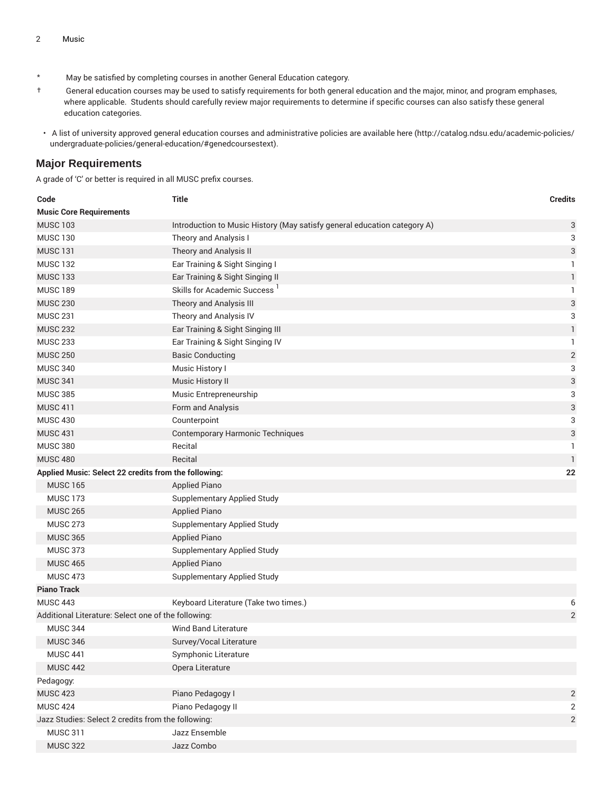- \* May be satisfied by completing courses in another General Education category.
- † General education courses may be used to satisfy requirements for both general education and the major, minor, and program emphases, where applicable. Students should carefully review major requirements to determine if specific courses can also satisfy these general education categories.
- A list of university approved general education courses and administrative policies are available [here](http://catalog.ndsu.edu/academic-policies/undergraduate-policies/general-education/#genedcoursestext) ([http://catalog.ndsu.edu/academic-policies/](http://catalog.ndsu.edu/academic-policies/undergraduate-policies/general-education/#genedcoursestext) [undergraduate-policies/general-education/#genedcoursestext](http://catalog.ndsu.edu/academic-policies/undergraduate-policies/general-education/#genedcoursestext)).

#### **Major Requirements**

A grade of 'C' or better is required in all MUSC prefix courses.

| Code                                                 | Title                                                                    | <b>Credits</b> |  |
|------------------------------------------------------|--------------------------------------------------------------------------|----------------|--|
| <b>Music Core Requirements</b>                       |                                                                          |                |  |
| <b>MUSC 103</b>                                      | Introduction to Music History (May satisfy general education category A) | 3              |  |
| <b>MUSC 130</b>                                      | Theory and Analysis I                                                    | 3              |  |
| <b>MUSC 131</b>                                      | Theory and Analysis II                                                   | 3              |  |
| <b>MUSC 132</b>                                      | Ear Training & Sight Singing I                                           | 1.             |  |
| <b>MUSC 133</b>                                      | Ear Training & Sight Singing II                                          | $\mathbf{1}$   |  |
| <b>MUSC 189</b>                                      | Skills for Academic Success <sup>1</sup>                                 | 1              |  |
| <b>MUSC 230</b>                                      | Theory and Analysis III                                                  | 3              |  |
| <b>MUSC 231</b>                                      | Theory and Analysis IV                                                   | 3              |  |
| <b>MUSC 232</b>                                      | Ear Training & Sight Singing III                                         | 1              |  |
| <b>MUSC 233</b>                                      | Ear Training & Sight Singing IV                                          | 1              |  |
| <b>MUSC 250</b>                                      | <b>Basic Conducting</b>                                                  | $\mathbf{2}$   |  |
| <b>MUSC 340</b>                                      | Music History I                                                          | 3              |  |
| <b>MUSC 341</b>                                      | Music History II                                                         | 3              |  |
| <b>MUSC 385</b>                                      | Music Entrepreneurship                                                   | 3              |  |
| <b>MUSC 411</b>                                      | Form and Analysis                                                        | 3              |  |
| <b>MUSC 430</b>                                      | Counterpoint                                                             | 3              |  |
| <b>MUSC 431</b>                                      | <b>Contemporary Harmonic Techniques</b>                                  | 3              |  |
| <b>MUSC 380</b>                                      | Recital                                                                  | 1              |  |
| <b>MUSC 480</b>                                      | Recital                                                                  | $\mathbf{1}$   |  |
| Applied Music: Select 22 credits from the following: |                                                                          | 22             |  |
| <b>MUSC 165</b>                                      | <b>Applied Piano</b>                                                     |                |  |
| <b>MUSC 173</b>                                      | Supplementary Applied Study                                              |                |  |
| <b>MUSC 265</b>                                      | <b>Applied Piano</b>                                                     |                |  |
| <b>MUSC 273</b>                                      | Supplementary Applied Study                                              |                |  |
| <b>MUSC 365</b>                                      | <b>Applied Piano</b>                                                     |                |  |
| <b>MUSC 373</b>                                      | Supplementary Applied Study                                              |                |  |
| <b>MUSC 465</b>                                      | <b>Applied Piano</b>                                                     |                |  |
| <b>MUSC 473</b>                                      | <b>Supplementary Applied Study</b>                                       |                |  |
| <b>Piano Track</b>                                   |                                                                          |                |  |
| <b>MUSC 443</b>                                      | Keyboard Literature (Take two times.)                                    | 6              |  |
| Additional Literature: Select one of the following:  |                                                                          | $\sqrt{2}$     |  |
| <b>MUSC 344</b>                                      | <b>Wind Band Literature</b>                                              |                |  |
| <b>MUSC 346</b>                                      | Survey/Vocal Literature                                                  |                |  |
| <b>MUSC 441</b>                                      | Symphonic Literature                                                     |                |  |
| <b>MUSC 442</b>                                      | Opera Literature                                                         |                |  |
| Pedagogy:                                            |                                                                          |                |  |
| <b>MUSC 423</b>                                      | Piano Pedagogy I                                                         | $\overline{c}$ |  |
| <b>MUSC 424</b>                                      | Piano Pedagogy II                                                        | 2              |  |
| Jazz Studies: Select 2 credits from the following:   |                                                                          |                |  |
| <b>MUSC 311</b>                                      | Jazz Ensemble                                                            |                |  |
| <b>MUSC 322</b>                                      | Jazz Combo                                                               |                |  |